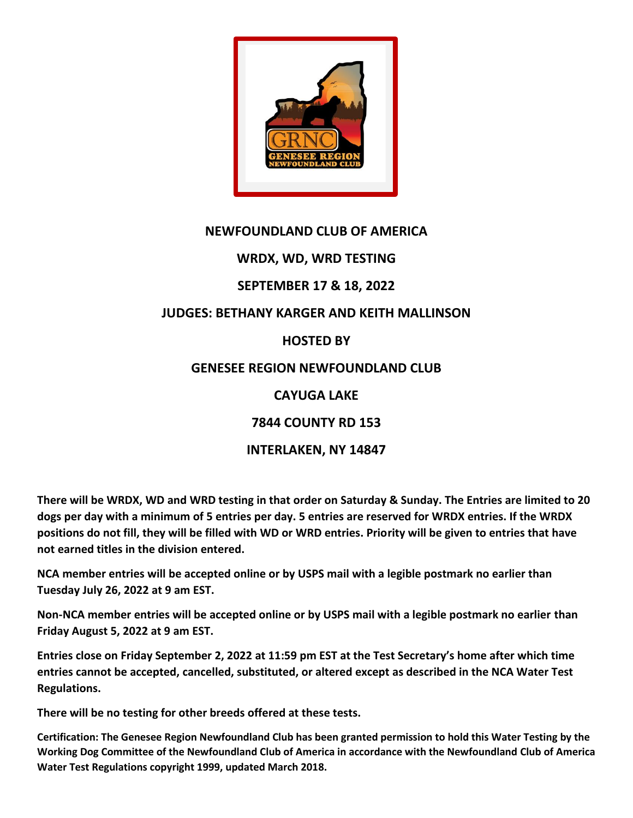

## **NEWFOUNDLAND CLUB OF AMERICA**

# **WRDX, WD, WRD TESTING**

## **SEPTEMBER 17 & 18, 2022**

# **JUDGES: BETHANY KARGER AND KEITH MALLINSON**

### **HOSTED BY**

### **GENESEE REGION NEWFOUNDLAND CLUB**

## **CAYUGA LAKE**

# **7844 COUNTY RD 153**

# **INTERLAKEN, NY 14847**

**There will be WRDX, WD and WRD testing in that order on Saturday & Sunday. The Entries are limited to 20 dogs per day with a minimum of 5 entries per day. 5 entries are reserved for WRDX entries. If the WRDX positions do not fill, they will be filled with WD or WRD entries. Priority will be given to entries that have not earned titles in the division entered.**

**NCA member entries will be accepted online or by USPS mail with a legible postmark no earlier than Tuesday July 26, 2022 at 9 am EST.**

**Non-NCA member entries will be accepted online or by USPS mail with a legible postmark no earlier than Friday August 5, 2022 at 9 am EST.**

**Entries close on Friday September 2, 2022 at 11:59 pm EST at the Test Secretary's home after which time entries cannot be accepted, cancelled, substituted, or altered except as described in the NCA Water Test Regulations.**

**There will be no testing for other breeds offered at these tests.**

**Certification: The Genesee Region Newfoundland Club has been granted permission to hold this Water Testing by the Working Dog Committee of the Newfoundland Club of America in accordance with the Newfoundland Club of America Water Test Regulations copyright 1999, updated March 2018.**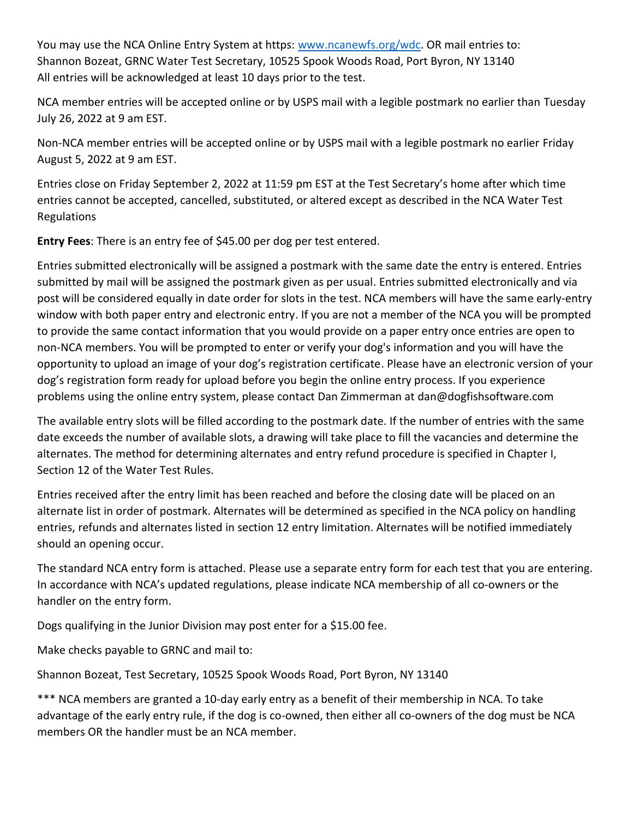You may use the NCA Online Entry System at https: [www.ncanewfs.org/wdc.](www.ncanewfs.org/wdc) OR mail entries to: Shannon Bozeat, GRNC Water Test Secretary, 10525 Spook Woods Road, Port Byron, NY 13140 All entries will be acknowledged at least 10 days prior to the test.

NCA member entries will be accepted online or by USPS mail with a legible postmark no earlier than Tuesday July 26, 2022 at 9 am EST.

Non-NCA member entries will be accepted online or by USPS mail with a legible postmark no earlier Friday August 5, 2022 at 9 am EST.

Entries close on Friday September 2, 2022 at 11:59 pm EST at the Test Secretary's home after which time entries cannot be accepted, cancelled, substituted, or altered except as described in the NCA Water Test Regulations

**Entry Fees**: There is an entry fee of \$45.00 per dog per test entered.

Entries submitted electronically will be assigned a postmark with the same date the entry is entered. Entries submitted by mail will be assigned the postmark given as per usual. Entries submitted electronically and via post will be considered equally in date order for slots in the test. NCA members will have the same early-entry window with both paper entry and electronic entry. If you are not a member of the NCA you will be prompted to provide the same contact information that you would provide on a paper entry once entries are open to non-NCA members. You will be prompted to enter or verify your dog's information and you will have the opportunity to upload an image of your dog's registration certificate. Please have an electronic version of your dog's registration form ready for upload before you begin the online entry process. If you experience problems using the online entry system, please contact Dan Zimmerman at dan@dogfishsoftware.com

The available entry slots will be filled according to the postmark date. If the number of entries with the same date exceeds the number of available slots, a drawing will take place to fill the vacancies and determine the alternates. The method for determining alternates and entry refund procedure is specified in Chapter I, Section 12 of the Water Test Rules.

Entries received after the entry limit has been reached and before the closing date will be placed on an alternate list in order of postmark. Alternates will be determined as specified in the NCA policy on handling entries, refunds and alternates listed in section 12 entry limitation. Alternates will be notified immediately should an opening occur.

The standard NCA entry form is attached. Please use a separate entry form for each test that you are entering. In accordance with NCA's updated regulations, please indicate NCA membership of all co-owners or the handler on the entry form.

Dogs qualifying in the Junior Division may post enter for a \$15.00 fee.

Make checks payable to GRNC and mail to:

Shannon Bozeat, Test Secretary, 10525 Spook Woods Road, Port Byron, NY 13140

\*\*\* NCA members are granted a 10-day early entry as a benefit of their membership in NCA. To take advantage of the early entry rule, if the dog is co-owned, then either all co-owners of the dog must be NCA members OR the handler must be an NCA member.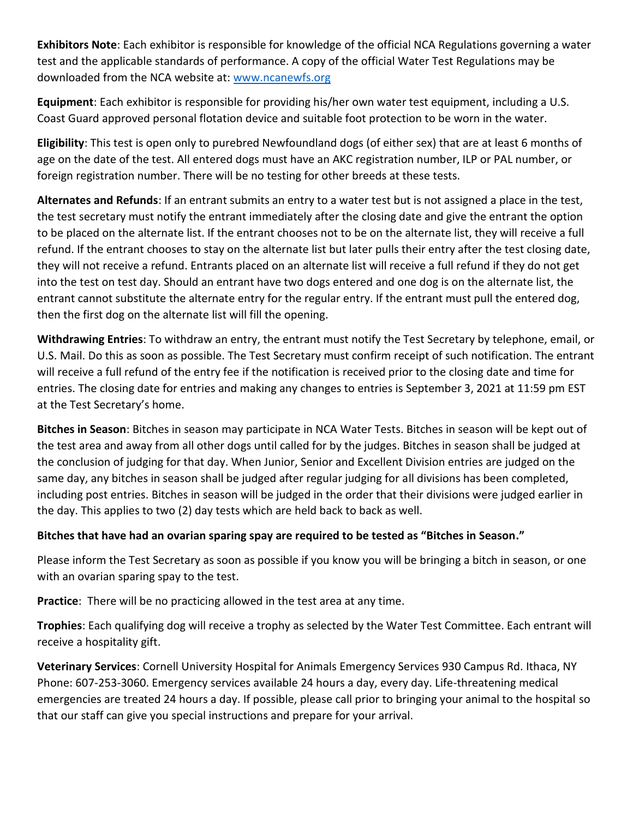**Exhibitors Note**: Each exhibitor is responsible for knowledge of the official NCA Regulations governing a water test and the applicable standards of performance. A copy of the official Water Test Regulations may be downloaded from the NCA website at:<www.ncanewfs.org>

**Equipment**: Each exhibitor is responsible for providing his/her own water test equipment, including a U.S. Coast Guard approved personal flotation device and suitable foot protection to be worn in the water.

**Eligibility**: This test is open only to purebred Newfoundland dogs (of either sex) that are at least 6 months of age on the date of the test. All entered dogs must have an AKC registration number, ILP or PAL number, or foreign registration number. There will be no testing for other breeds at these tests.

**Alternates and Refunds**: If an entrant submits an entry to a water test but is not assigned a place in the test, the test secretary must notify the entrant immediately after the closing date and give the entrant the option to be placed on the alternate list. If the entrant chooses not to be on the alternate list, they will receive a full refund. If the entrant chooses to stay on the alternate list but later pulls their entry after the test closing date, they will not receive a refund. Entrants placed on an alternate list will receive a full refund if they do not get into the test on test day. Should an entrant have two dogs entered and one dog is on the alternate list, the entrant cannot substitute the alternate entry for the regular entry. If the entrant must pull the entered dog, then the first dog on the alternate list will fill the opening.

**Withdrawing Entries**: To withdraw an entry, the entrant must notify the Test Secretary by telephone, email, or U.S. Mail. Do this as soon as possible. The Test Secretary must confirm receipt of such notification. The entrant will receive a full refund of the entry fee if the notification is received prior to the closing date and time for entries. The closing date for entries and making any changes to entries is September 3, 2021 at 11:59 pm EST at the Test Secretary's home.

**Bitches in Season**: Bitches in season may participate in NCA Water Tests. Bitches in season will be kept out of the test area and away from all other dogs until called for by the judges. Bitches in season shall be judged at the conclusion of judging for that day. When Junior, Senior and Excellent Division entries are judged on the same day, any bitches in season shall be judged after regular judging for all divisions has been completed, including post entries. Bitches in season will be judged in the order that their divisions were judged earlier in the day. This applies to two (2) day tests which are held back to back as well.

### **Bitches that have had an ovarian sparing spay are required to be tested as "Bitches in Season."**

Please inform the Test Secretary as soon as possible if you know you will be bringing a bitch in season, or one with an ovarian sparing spay to the test.

**Practice**: There will be no practicing allowed in the test area at any time.

**Trophies**: Each qualifying dog will receive a trophy as selected by the Water Test Committee. Each entrant will receive a hospitality gift.

**Veterinary Services**: Cornell University Hospital for Animals Emergency Services 930 Campus Rd. Ithaca, NY Phone: 607-253-3060. Emergency services available 24 hours a day, every day. Life-threatening medical emergencies are treated 24 hours a day. If possible, please call prior to bringing your animal to the hospital so that our staff can give you special instructions and prepare for your arrival.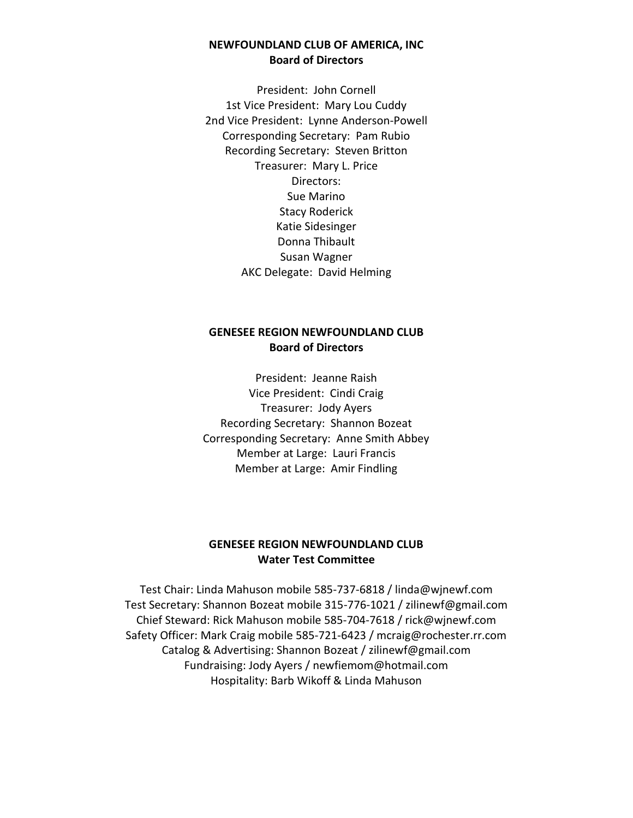### **NEWFOUNDLAND CLUB OF AMERICA, INC Board of Directors**

President: John Cornell 1st Vice President: Mary Lou Cuddy 2nd Vice President: Lynne Anderson-Powell Corresponding Secretary: Pam Rubio Recording Secretary: Steven Britton Treasurer: Mary L. Price Directors: Sue Marino Stacy Roderick Katie Sidesinger Donna Thibault Susan Wagner AKC Delegate: David Helming

### **GENESEE REGION NEWFOUNDLAND CLUB Board of Directors**

President: Jeanne Raish Vice President: Cindi Craig Treasurer: Jody Ayers Recording Secretary: Shannon Bozeat Corresponding Secretary: Anne Smith Abbey Member at Large: Lauri Francis Member at Large: Amir Findling

### **GENESEE REGION NEWFOUNDLAND CLUB Water Test Committee**

Test Chair: Linda Mahuson mobile 585-737-6818 / linda@wjnewf.com Test Secretary: Shannon Bozeat mobile 315-776-1021 / zilinewf@gmail.com Chief Steward: Rick Mahuson mobile 585-704-7618 / rick@wjnewf.com Safety Officer: Mark Craig mobile 585-721-6423 / mcraig@rochester.rr.com Catalog & Advertising: Shannon Bozeat / zilinewf@gmail.com Fundraising: Jody Ayers / newfiemom@hotmail.com Hospitality: Barb Wikoff & Linda Mahuson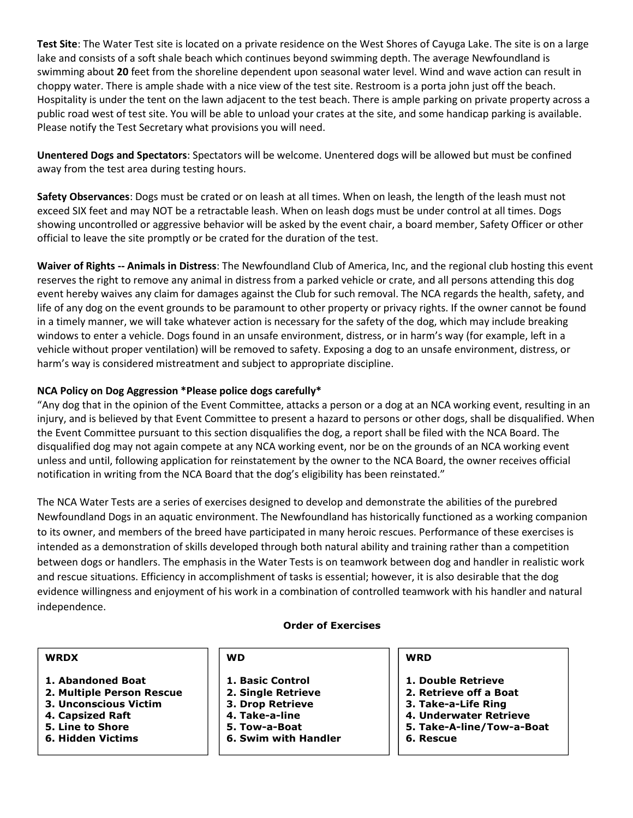**Test Site**: The Water Test site is located on a private residence on the West Shores of Cayuga Lake. The site is on a large lake and consists of a soft shale beach which continues beyond swimming depth. The average Newfoundland is swimming about **20** feet from the shoreline dependent upon seasonal water level. Wind and wave action can result in choppy water. There is ample shade with a nice view of the test site. Restroom is a porta john just off the beach. Hospitality is under the tent on the lawn adjacent to the test beach. There is ample parking on private property across a public road west of test site. You will be able to unload your crates at the site, and some handicap parking is available. Please notify the Test Secretary what provisions you will need.

**Unentered Dogs and Spectators**: Spectators will be welcome. Unentered dogs will be allowed but must be confined away from the test area during testing hours.

**Safety Observances**: Dogs must be crated or on leash at all times. When on leash, the length of the leash must not exceed SIX feet and may NOT be a retractable leash. When on leash dogs must be under control at all times. Dogs showing uncontrolled or aggressive behavior will be asked by the event chair, a board member, Safety Officer or other official to leave the site promptly or be crated for the duration of the test.

**Waiver of Rights -- Animals in Distress**: The Newfoundland Club of America, Inc, and the regional club hosting this event reserves the right to remove any animal in distress from a parked vehicle or crate, and all persons attending this dog event hereby waives any claim for damages against the Club for such removal. The NCA regards the health, safety, and life of any dog on the event grounds to be paramount to other property or privacy rights. If the owner cannot be found in a timely manner, we will take whatever action is necessary for the safety of the dog, which may include breaking windows to enter a vehicle. Dogs found in an unsafe environment, distress, or in harm's way (for example, left in a vehicle without proper ventilation) will be removed to safety. Exposing a dog to an unsafe environment, distress, or harm's way is considered mistreatment and subject to appropriate discipline.

#### **NCA Policy on Dog Aggression \*Please police dogs carefully\***

"Any dog that in the opinion of the Event Committee, attacks a person or a dog at an NCA working event, resulting in an injury, and is believed by that Event Committee to present a hazard to persons or other dogs, shall be disqualified. When the Event Committee pursuant to this section disqualifies the dog, a report shall be filed with the NCA Board. The disqualified dog may not again compete at any NCA working event, nor be on the grounds of an NCA working event unless and until, following application for reinstatement by the owner to the NCA Board, the owner receives official notification in writing from the NCA Board that the dog's eligibility has been reinstated."

The NCA Water Tests are a series of exercises designed to develop and demonstrate the abilities of the purebred Newfoundland Dogs in an aquatic environment. The Newfoundland has historically functioned as a working companion to its owner, and members of the breed have participated in many heroic rescues. Performance of these exercises is intended as a demonstration of skills developed through both natural ability and training rather than a competition between dogs or handlers. The emphasis in the Water Tests is on teamwork between dog and handler in realistic work and rescue situations. Efficiency in accomplishment of tasks is essential; however, it is also desirable that the dog evidence willingness and enjoyment of his work in a combination of controlled teamwork with his handler and natural independence.

#### **Order of Exercises**

#### **WRDX**

- **1. Abandoned Boat**
- **2. Multiple Person Rescue**
- **3. Unconscious Victim**
- **4. Capsized Raft**
- **5. Line to Shore**
- **6. Hidden Victims**

#### **WD**

- **1. Basic Control**
- **2. Single Retrieve**
- **3. Drop Retrieve**
- **4. Take-a-line**
- **5. Tow-a-Boat**
- **6. Swim with Handler**
- 

#### **WRD**

- **1. Double Retrieve**
- **2. Retrieve off a Boat**
- **3. Take-a-Life Ring**
- **4. Underwater Retrieve**
- **5. Take-A-line/Tow-a-Boat**
- **6. Rescue**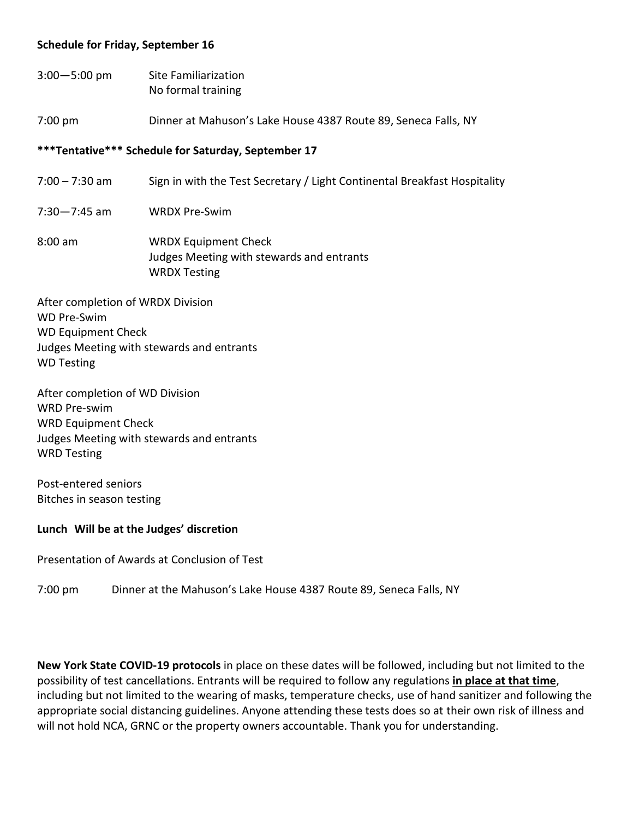#### **Schedule for Friday, September 16**

3:00—5:00 pm Site Familiarization No formal training

7:00 pm Dinner at Mahuson's Lake House 4387 Route 89, Seneca Falls, NY

#### **\*\*\*Tentative\*\*\* Schedule for Saturday, September 17**

- 7:00 7:30 am Sign in with the Test Secretary / Light Continental Breakfast Hospitality
- 7:30—7:45 am WRDX Pre-Swim
- 8:00 am WRDX Equipment Check Judges Meeting with stewards and entrants WRDX Testing

After completion of WRDX Division WD Pre-Swim WD Equipment Check Judges Meeting with stewards and entrants WD Testing

After completion of WD Division WRD Pre-swim WRD Equipment Check Judges Meeting with stewards and entrants WRD Testing

Post-entered seniors Bitches in season testing

#### **Lunch Will be at the Judges' discretion**

Presentation of Awards at Conclusion of Test

7:00 pm Dinner at the Mahuson's Lake House 4387 Route 89, Seneca Falls, NY

**New York State COVID-19 protocols** in place on these dates will be followed, including but not limited to the possibility of test cancellations. Entrants will be required to follow any regulations **in place at that time**, including but not limited to the wearing of masks, temperature checks, use of hand sanitizer and following the appropriate social distancing guidelines. Anyone attending these tests does so at their own risk of illness and will not hold NCA, GRNC or the property owners accountable. Thank you for understanding.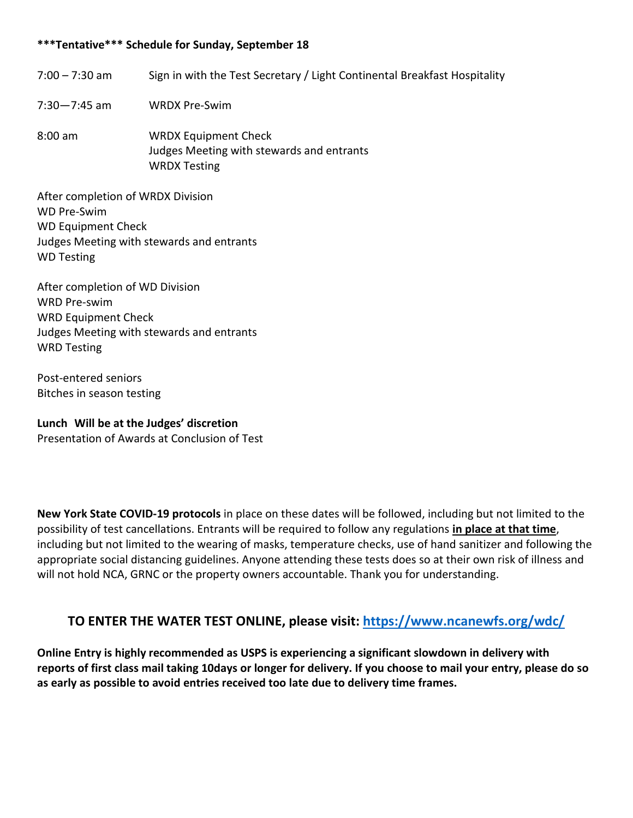### **\*\*\*Tentative\*\*\* Schedule for Sunday, September 18**

- 7:00 7:30 am Sign in with the Test Secretary / Light Continental Breakfast Hospitality
- 7:30—7:45 am WRDX Pre-Swim
- 8:00 am WRDX Equipment Check Judges Meeting with stewards and entrants WRDX Testing

After completion of WRDX Division WD Pre-Swim WD Equipment Check Judges Meeting with stewards and entrants WD Testing

After completion of WD Division WRD Pre-swim WRD Equipment Check Judges Meeting with stewards and entrants WRD Testing

Post-entered seniors Bitches in season testing

**Lunch Will be at the Judges' discretion** Presentation of Awards at Conclusion of Test

**New York State COVID-19 protocols** in place on these dates will be followed, including but not limited to the possibility of test cancellations. Entrants will be required to follow any regulations **in place at that time**, including but not limited to the wearing of masks, temperature checks, use of hand sanitizer and following the appropriate social distancing guidelines. Anyone attending these tests does so at their own risk of illness and will not hold NCA, GRNC or the property owners accountable. Thank you for understanding.

### **TO ENTER THE WATER TEST ONLINE, please visit:<https://www.ncanewfs.org/wdc/>**

**Online Entry is highly recommended as USPS is experiencing a significant slowdown in delivery with reports of first class mail taking 10days or longer for delivery. If you choose to mail your entry, please do so as early as possible to avoid entries received too late due to delivery time frames.**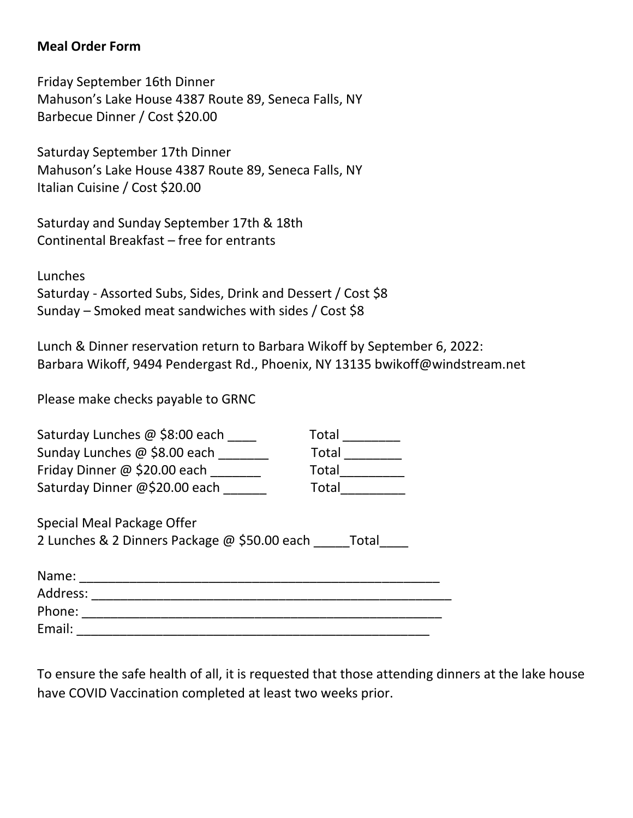## **Meal Order Form**

Friday September 16th Dinner Mahuson's Lake House 4387 Route 89, Seneca Falls, NY Barbecue Dinner / Cost \$20.00

Saturday September 17th Dinner Mahuson's Lake House 4387 Route 89, Seneca Falls, NY Italian Cuisine / Cost \$20.00

Saturday and Sunday September 17th & 18th Continental Breakfast – free for entrants

Lunches Saturday - Assorted Subs, Sides, Drink and Dessert / Cost \$8 Sunday – Smoked meat sandwiches with sides / Cost \$8

Lunch & Dinner reservation return to Barbara Wikoff by September 6, 2022: Barbara Wikoff, 9494 Pendergast Rd., Phoenix, NY 13135 bwikoff@windstream.net

Please make checks payable to GRNC

| Saturday Lunches @ \$8:00 each                        | Total        |  |  |  |
|-------------------------------------------------------|--------------|--|--|--|
| Sunday Lunches @ \$8.00 each                          | <b>Total</b> |  |  |  |
| Friday Dinner @ \$20.00 each                          | Total        |  |  |  |
| Saturday Dinner @\$20.00 each                         | Total        |  |  |  |
|                                                       |              |  |  |  |
| Special Meal Package Offer                            |              |  |  |  |
| 2 Lunches & 2 Dinners Package @ \$50.00 each<br>Total |              |  |  |  |
|                                                       |              |  |  |  |
| Name:                                                 |              |  |  |  |
| Address:                                              |              |  |  |  |
| Phone:                                                |              |  |  |  |
| Email:                                                |              |  |  |  |

To ensure the safe health of all, it is requested that those attending dinners at the lake house have COVID Vaccination completed at least two weeks prior.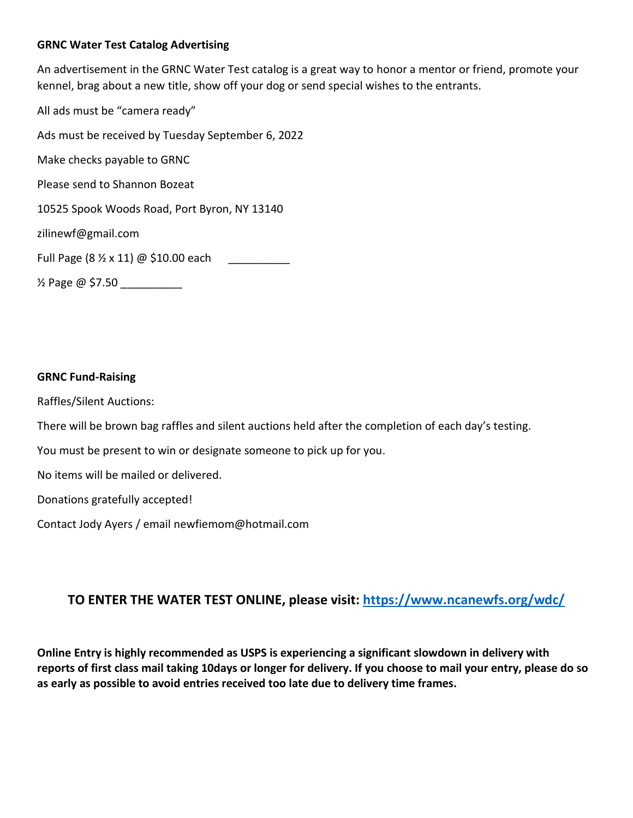#### **GRNC Water Test Catalog Advertising**

An advertisement in the GRNC Water Test catalog is a great way to honor a mentor or friend, promote your kennel, brag about a new title, show off your dog or send special wishes to the entrants.

All ads must be "camera ready" Ads must be received by Tuesday September 6, 2022 Make checks payable to GRNC Please send to Shannon Bozeat 10525 Spook Woods Road, Port Byron, NY 13140 zilinewf@gmail.com Full Page (8  $\frac{1}{2}$  x 11) @ \$10.00 each ½ Page @ \$7.50 \_\_\_\_\_\_\_\_\_\_

#### **GRNC Fund-Raising**

Raffles/Silent Auctions:

There will be brown bag raffles and silent auctions held after the completion of each day's testing.

You must be present to win or designate someone to pick up for you.

No items will be mailed or delivered.

Donations gratefully accepted!

Contact Jody Ayers / email [newfiemom@hotmail.com](mailto:newfiemom@hotmail.com)

## **TO ENTER THE WATER TEST ONLINE, please visit: <https://www.ncanewfs.org/wdc/>**

**Online Entry is highly recommended as USPS is experiencing a significant slowdown in delivery with reports of first class mail taking 10days or longer for delivery. If you choose to mail your entry, please do so as early as possible to avoid entries received too late due to delivery time frames.**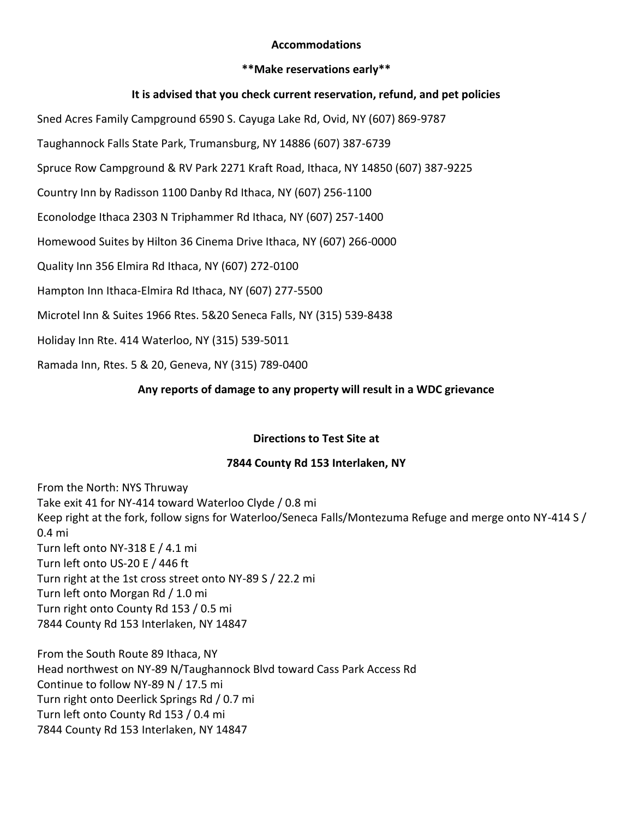#### **Accommodations**

#### **\*\*Make reservations early\*\***

#### **It is advised that you check current reservation, refund, and pet policies**

Sned Acres Family Campground 6590 S. Cayuga Lake Rd, Ovid, NY (607) 869-9787

Taughannock Falls State Park, Trumansburg, NY 14886 (607) 387-6739

Spruce Row Campground & RV Park 2271 Kraft Road, Ithaca, NY 14850 (607) 387-9225

Country Inn by Radisson 1100 Danby Rd Ithaca, NY (607) 256-1100

Econolodge Ithaca 2303 N Triphammer Rd Ithaca, NY (607) 257-1400

Homewood Suites by Hilton 36 Cinema Drive Ithaca, NY (607) 266-0000

Quality Inn 356 Elmira Rd Ithaca, NY (607) 272-0100

Hampton Inn Ithaca-Elmira Rd Ithaca, NY (607) 277-5500

Microtel Inn & Suites 1966 Rtes. 5&20 Seneca Falls, NY (315) 539-8438

Holiday Inn Rte. 414 Waterloo, NY (315) 539-5011

Ramada Inn, Rtes. 5 & 20, Geneva, NY (315) 789-0400

### **Any reports of damage to any property will result in a WDC grievance**

#### **Directions to Test Site at**

### **7844 County Rd 153 Interlaken, NY**

From the North: NYS Thruway Take exit 41 for NY-414 toward Waterloo Clyde / 0.8 mi Keep right at the fork, follow signs for Waterloo/Seneca Falls/Montezuma Refuge and merge onto NY-414 S / 0.4 mi Turn left onto NY-318 E / 4.1 mi Turn left onto US-20 E / 446 ft Turn right at the 1st cross street onto NY-89 S / 22.2 mi Turn left onto Morgan Rd / 1.0 mi Turn right onto County Rd 153 / 0.5 mi 7844 County Rd 153 Interlaken, NY 14847

From the South Route 89 Ithaca, NY Head northwest on NY-89 N/Taughannock Blvd toward Cass Park Access Rd Continue to follow NY-89 N / 17.5 mi Turn right onto Deerlick Springs Rd / 0.7 mi Turn left onto County Rd 153 / 0.4 mi 7844 County Rd 153 Interlaken, NY 14847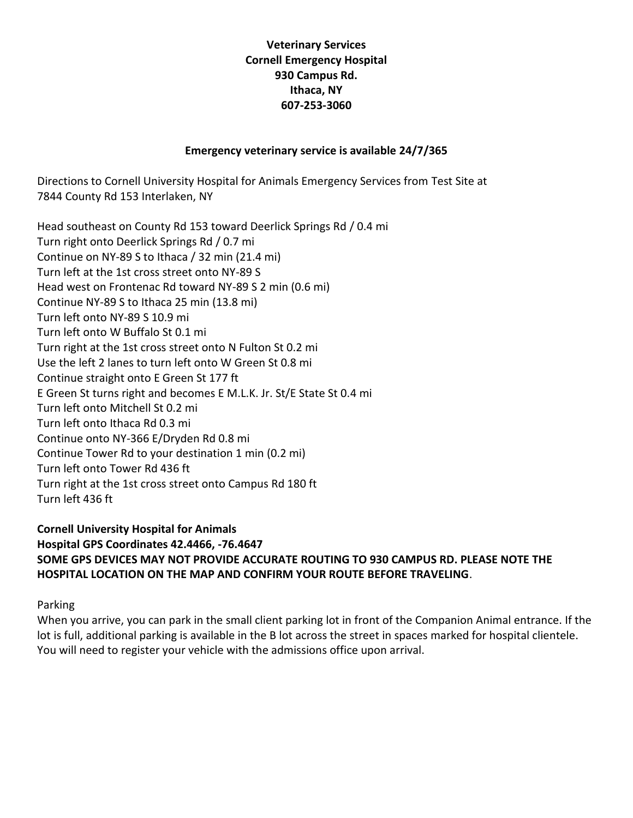### **Veterinary Services Cornell Emergency Hospital 930 Campus Rd. Ithaca, NY 607-253-3060**

### **Emergency veterinary service is available 24/7/365**

Directions to Cornell University Hospital for Animals Emergency Services from Test Site at 7844 County Rd 153 Interlaken, NY

Head southeast on County Rd 153 toward Deerlick Springs Rd / 0.4 mi Turn right onto Deerlick Springs Rd / 0.7 mi Continue on NY-89 S to Ithaca / 32 min (21.4 mi) Turn left at the 1st cross street onto NY-89 S Head west on Frontenac Rd toward NY-89 S 2 min (0.6 mi) Continue NY-89 S to Ithaca 25 min (13.8 mi) Turn left onto NY-89 S 10.9 mi Turn left onto W Buffalo St 0.1 mi Turn right at the 1st cross street onto N Fulton St 0.2 mi Use the left 2 lanes to turn left onto W Green St 0.8 mi Continue straight onto E Green St 177 ft E Green St turns right and becomes E M.L.K. Jr. St/E State St 0.4 mi Turn left onto Mitchell St 0.2 mi Turn left onto Ithaca Rd 0.3 mi Continue onto NY-366 E/Dryden Rd 0.8 mi Continue Tower Rd to your destination 1 min (0.2 mi) Turn left onto Tower Rd 436 ft Turn right at the 1st cross street onto Campus Rd 180 ft Turn left 436 ft

**Cornell University Hospital for Animals Hospital GPS Coordinates 42.4466, -76.4647 SOME GPS DEVICES MAY NOT PROVIDE ACCURATE ROUTING TO 930 CAMPUS RD. PLEASE NOTE THE HOSPITAL LOCATION ON THE MAP AND CONFIRM YOUR ROUTE BEFORE TRAVELING**.

Parking

When you arrive, you can park in the small client parking lot in front of the Companion Animal entrance. If the lot is full, additional parking is available in the B lot across the street in spaces marked for hospital clientele. You will need to register your vehicle with the admissions office upon arrival.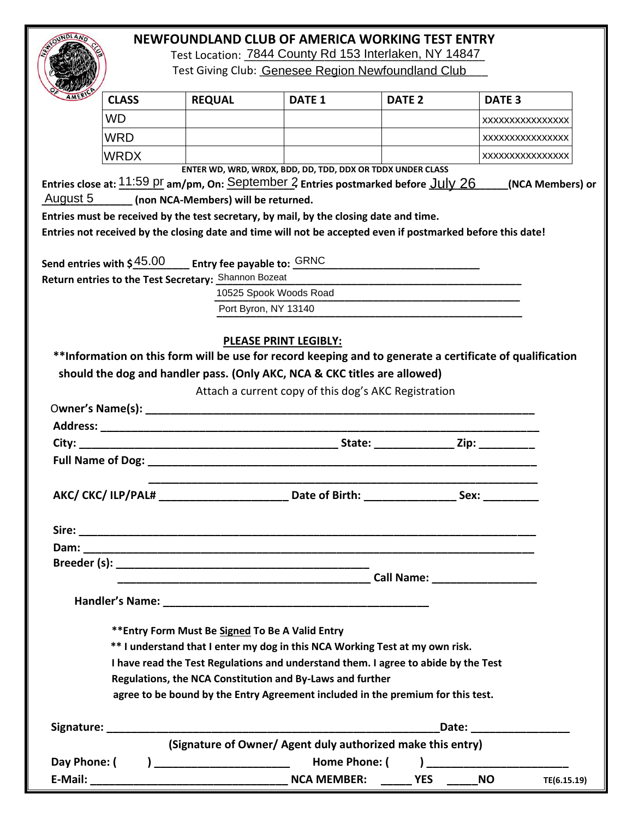# **NEWFOUNDLAND CLUB OF AMERICA WORKING TEST ENTRY**

Test Location: 7844 County Rd 153 Interlaken, NY 14847 Test Giving Club: Genesee Region Newfoundland Club

|              |              |                                                                                                                               |                                                            | Test Location: 7844 County Rd 153 Interlaken, NY 14847                                                                                                                                                                                                |                                                |
|--------------|--------------|-------------------------------------------------------------------------------------------------------------------------------|------------------------------------------------------------|-------------------------------------------------------------------------------------------------------------------------------------------------------------------------------------------------------------------------------------------------------|------------------------------------------------|
|              |              |                                                                                                                               |                                                            | Test Giving Club: Genesee Region Newfoundland Club                                                                                                                                                                                                    |                                                |
|              | <b>CLASS</b> | <b>REQUAL</b>                                                                                                                 | <b>DATE 1</b>                                              | DATE <sub>2</sub>                                                                                                                                                                                                                                     | DATE <sub>3</sub>                              |
|              | <b>WD</b>    |                                                                                                                               |                                                            |                                                                                                                                                                                                                                                       | XXXXXXXXXXXXXXX                                |
|              | <b>WRD</b>   |                                                                                                                               |                                                            |                                                                                                                                                                                                                                                       | XXXXXXXXXXXXXXX                                |
|              | <b>WRDX</b>  |                                                                                                                               |                                                            |                                                                                                                                                                                                                                                       | XXXXXXXXXXXXXXX                                |
| August 5     |              | (non NCA-Members) will be returned.<br>Entries must be received by the test secretary, by mail, by the closing date and time. | ENTER WD, WRD, WRDX, BDD, DD, TDD, DDX OR TDDX UNDER CLASS | Entries close at: <mark>11:59 pr</mark> am/pm, On: <u>September 2</u> Entries postmarked before <u>JUly 26 </u>                                                                                                                                       | (NCA Members) or                               |
|              |              |                                                                                                                               |                                                            | Entries not received by the closing date and time will not be accepted even if postmarked before this date!                                                                                                                                           |                                                |
|              |              | Send entries with \$ $\frac{45.00}{ }$ ____ Entry fee payable to: $\frac{GRNC}{ }$                                            |                                                            |                                                                                                                                                                                                                                                       |                                                |
|              |              | Return entries to the Test Secretary: Shannon Bozeat                                                                          | 10525 Spook Woods Road                                     |                                                                                                                                                                                                                                                       |                                                |
|              |              |                                                                                                                               | Port Byron, NY 13140                                       |                                                                                                                                                                                                                                                       |                                                |
|              |              |                                                                                                                               |                                                            | Attach a current copy of this dog's AKC Registration                                                                                                                                                                                                  |                                                |
|              |              |                                                                                                                               |                                                            |                                                                                                                                                                                                                                                       |                                                |
|              |              |                                                                                                                               |                                                            |                                                                                                                                                                                                                                                       |                                                |
|              |              |                                                                                                                               |                                                            |                                                                                                                                                                                                                                                       |                                                |
|              |              |                                                                                                                               |                                                            | AKC/CKC/ILP/PAL# Date of Birth: Sex:                                                                                                                                                                                                                  |                                                |
|              |              |                                                                                                                               |                                                            |                                                                                                                                                                                                                                                       |                                                |
|              |              |                                                                                                                               |                                                            |                                                                                                                                                                                                                                                       |                                                |
|              |              |                                                                                                                               |                                                            |                                                                                                                                                                                                                                                       |                                                |
|              |              |                                                                                                                               |                                                            | <b>Call Name: Call Name: Call Name: Call Name: Call Name: Call Name: Call Name: Call Name: Call Name: Call Name: Call Name: Call Name: Call Name: Call Name: Call Name: Call Name: Call Name: </b>                                                    |                                                |
|              |              |                                                                                                                               |                                                            |                                                                                                                                                                                                                                                       |                                                |
|              |              | ** Entry Form Must Be Signed To Be A Valid Entry<br>Regulations, the NCA Constitution and By-Laws and further                 |                                                            | ** I understand that I enter my dog in this NCA Working Test at my own risk.<br>I have read the Test Regulations and understand them. I agree to abide by the Test<br>agree to be bound by the Entry Agreement included in the premium for this test. |                                                |
|              |              |                                                                                                                               |                                                            |                                                                                                                                                                                                                                                       |                                                |
|              |              |                                                                                                                               |                                                            |                                                                                                                                                                                                                                                       | Date: _____________                            |
| Day Phone: ( |              | ) ______________________________  Home Phone: (                                                                               |                                                            | (Signature of Owner/ Agent duly authorized make this entry)                                                                                                                                                                                           | ) and the contract of $\overline{\phantom{a}}$ |